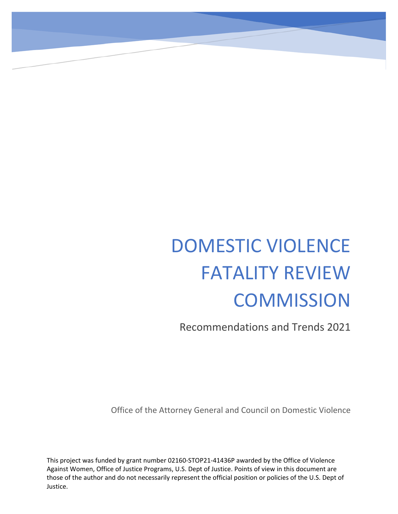## DOMESTIC VIOLENCE FATALITY REVIEW **COMMISSION**

Recommendations and Trends 2021

Office of the Attorney General and Council on Domestic Violence

This project was funded by grant number 02160-STOP21-41436P awarded by the Office of Violence Against Women, Office of Justice Programs, U.S. Dept of Justice. Points of view in this document are those of the author and do not necessarily represent the official position or policies of the U.S. Dept of Justice.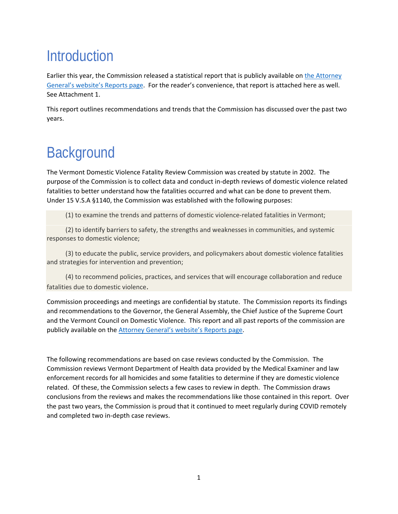## **Introduction**

Earlier this year, the Commission released a statistical report that is publicly available on [the Attorney](https://ago.vermont.gov/reports/)  [General's website's Reports page.](https://ago.vermont.gov/reports/) For the reader's convenience, that report is attached here as well. See Attachment 1.

This report outlines recommendations and trends that the Commission has discussed over the past two years.

## **Background**

The Vermont Domestic Violence Fatality Review Commission was created by statute in 2002. The purpose of the Commission is to collect data and conduct in-depth reviews of domestic violence related fatalities to better understand how the fatalities occurred and what can be done to prevent them. Under 15 V.S.A §1140, the Commission was established with the following purposes:

(1) to examine the trends and patterns of domestic violence-related fatalities in Vermont;

(2) to identify barriers to safety, the strengths and weaknesses in communities, and systemic responses to domestic violence;

(3) to educate the public, service providers, and policymakers about domestic violence fatalities and strategies for intervention and prevention;

(4) to recommend policies, practices, and services that will encourage collaboration and reduce fatalities due to domestic violence.

Commission proceedings and meetings are confidential by statute. The Commission reports its findings and recommendations to the Governor, the General Assembly, the Chief Justice of the Supreme Court and the Vermont Council on Domestic Violence. This report and all past reports of the commission are publicly available on th[e Attorney General's website's Reports page.](https://ago.vermont.gov/reports/)

The following recommendations are based on case reviews conducted by the Commission. The Commission reviews Vermont Department of Health data provided by the Medical Examiner and law enforcement records for all homicides and some fatalities to determine if they are domestic violence related. Of these, the Commission selects a few cases to review in depth. The Commission draws conclusions from the reviews and makes the recommendations like those contained in this report. Over the past two years, the Commission is proud that it continued to meet regularly during COVID remotely and completed two in-depth case reviews.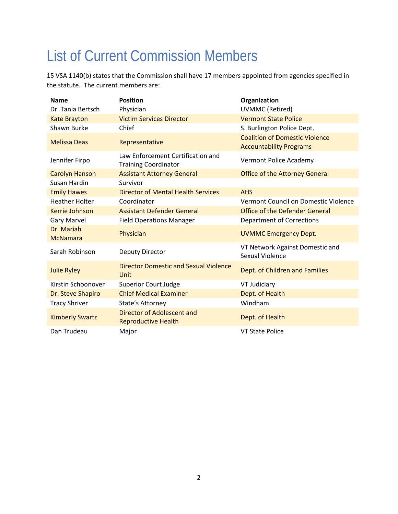## List of Current Commission Members

15 VSA 1140(b) states that the Commission shall have 17 members appointed from agencies specified in the statute. The current members are:

| <b>Name</b>                   | <b>Position</b>                                                  | Organization                                                            |  |
|-------------------------------|------------------------------------------------------------------|-------------------------------------------------------------------------|--|
| Dr. Tania Bertsch             | Physician                                                        | <b>UVMMC (Retired)</b>                                                  |  |
| <b>Kate Brayton</b>           | <b>Victim Services Director</b>                                  | <b>Vermont State Police</b>                                             |  |
| Shawn Burke                   | Chief                                                            | S. Burlington Police Dept.                                              |  |
| <b>Melissa Deas</b>           | Representative                                                   | <b>Coalition of Domestic Violence</b><br><b>Accountability Programs</b> |  |
| Jennifer Firpo                | Law Enforcement Certification and<br><b>Training Coordinator</b> | Vermont Police Academy                                                  |  |
| <b>Carolyn Hanson</b>         | <b>Assistant Attorney General</b>                                | <b>Office of the Attorney General</b>                                   |  |
| Susan Hardin                  | Survivor                                                         |                                                                         |  |
| <b>Emily Hawes</b>            | <b>Director of Mental Health Services</b>                        | <b>AHS</b>                                                              |  |
| <b>Heather Holter</b>         | Coordinator                                                      | Vermont Council on Domestic Violence                                    |  |
| Kerrie Johnson                | <b>Assistant Defender General</b>                                | <b>Office of the Defender General</b>                                   |  |
| <b>Gary Marvel</b>            | <b>Field Operations Manager</b>                                  | <b>Department of Corrections</b>                                        |  |
| Dr. Mariah<br><b>McNamara</b> | Physician                                                        | <b>UVMMC Emergency Dept.</b>                                            |  |
| Sarah Robinson                | Deputy Director                                                  | VT Network Against Domestic and<br>Sexual Violence                      |  |
| <b>Julie Ryley</b>            | <b>Director Domestic and Sexual Violence</b><br>Unit             | Dept. of Children and Families                                          |  |
| Kirstin Schoonover            | <b>Superior Court Judge</b>                                      | VT Judiciary                                                            |  |
| Dr. Steve Shapiro             | <b>Chief Medical Examiner</b>                                    | Dept. of Health                                                         |  |
| <b>Tracy Shriver</b>          | State's Attorney                                                 | Windham                                                                 |  |
| <b>Kimberly Swartz</b>        | Director of Adolescent and<br><b>Reproductive Health</b>         | Dept. of Health                                                         |  |
| Dan Trudeau                   | Major                                                            | <b>VT State Police</b>                                                  |  |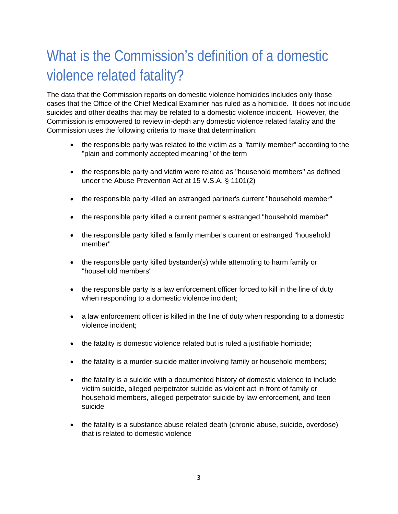## What is the Commission's definition of a domestic violence related fatality?

The data that the Commission reports on domestic violence homicides includes only those cases that the Office of the Chief Medical Examiner has ruled as a homicide. It does not include suicides and other deaths that may be related to a domestic violence incident. However, the Commission is empowered to review in-depth any domestic violence related fatality and the Commission uses the following criteria to make that determination:

- the responsible party was related to the victim as a "family member" according to the "plain and commonly accepted meaning" of the term
- the responsible party and victim were related as "household members" as defined under the Abuse Prevention Act at 15 V.S.A. § 1101(2)
- the responsible party killed an estranged partner's current "household member"
- the responsible party killed a current partner's estranged "household member"
- the responsible party killed a family member's current or estranged "household" member"
- the responsible party killed bystander(s) while attempting to harm family or "household members"
- the responsible party is a law enforcement officer forced to kill in the line of duty when responding to a domestic violence incident;
- a law enforcement officer is killed in the line of duty when responding to a domestic violence incident;
- the fatality is domestic violence related but is ruled a justifiable homicide;
- the fatality is a murder-suicide matter involving family or household members;
- the fatality is a suicide with a documented history of domestic violence to include victim suicide, alleged perpetrator suicide as violent act in front of family or household members, alleged perpetrator suicide by law enforcement, and teen suicide
- the fatality is a substance abuse related death (chronic abuse, suicide, overdose) that is related to domestic violence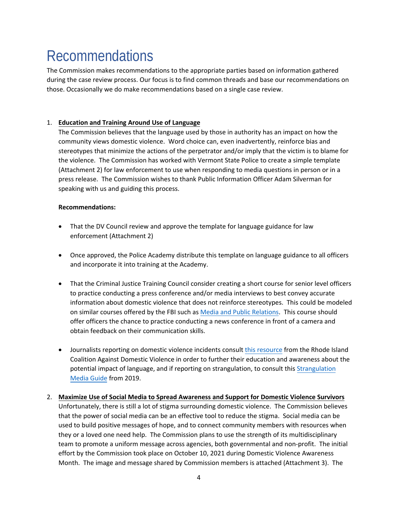## Recommendations

The Commission makes recommendations to the appropriate parties based on information gathered during the case review process. Our focus is to find common threads and base our recommendations on those. Occasionally we do make recommendations based on a single case review.

#### 1. **Education and Training Around Use of Language**

The Commission believes that the language used by those in authority has an impact on how the community views domestic violence. Word choice can, even inadvertently, reinforce bias and stereotypes that minimize the actions of the perpetrator and/or imply that the victim is to blame for the violence. The Commission has worked with Vermont State Police to create a simple template (Attachment 2) for law enforcement to use when responding to media questions in person or in a press release. The Commission wishes to thank Public Information Officer Adam Silverman for speaking with us and guiding this process.

#### **Recommendations:**

- That the DV Council review and approve the template for language guidance for law enforcement (Attachment 2)
- Once approved, the Police Academy distribute this template on language guidance to all officers and incorporate it into training at the Academy.
- That the Criminal Justice Training Council consider creating a short course for senior level officers to practice conducting a press conference and/or media interviews to best convey accurate information about domestic violence that does not reinforce stereotypes. This could be modeled on similar courses offered by the FBI such as Media and P[ublic Relations. This](https://fbileeda.org/page/MediaPubRel_Landing/Media-and-Public-Relations.htm) course should offer officers the chance to practice conducting a news conference in front of a camera and obtain feedback on their communication skills.
- Journalists reporting on domestic violence incidents consult [this resource](http://www.dvonlineguide.org/en/best-practices) from the Rhode Island Coalition Against Domestic Violence in order to further their education and awareness about the potential impact of language, and if reporting on strangulation, to consult this [Strangulation](http://www.familyjusticecenter.org/wp-content/uploads/2019/11/Strangulation-Media-Guide-Final-2019.pdf) [Media Guide](http://www.familyjusticecenter.org/wp-content/uploads/2019/11/Strangulation-Media-Guide-Final-2019.pdf) from 2019.
- 2. **Maximize Use of Social Media to Spread Awareness and Support for Domestic Violence Survivors** Unfortunately, there is still a lot of stigma surrounding domestic violence. The Commission believes that the power of social media can be an effective tool to reduce the stigma. Social media can be used to build positive messages of hope, and to connect community members with resources when they or a loved one need help. The Commission plans to use the strength of its multidisciplinary team to promote a uniform message across agencies, both governmental and non-profit. The initial effort by the Commission took place on October 10, 2021 during Domestic Violence Awareness Month. The image and message shared by Commission members is attached (Attachment 3). The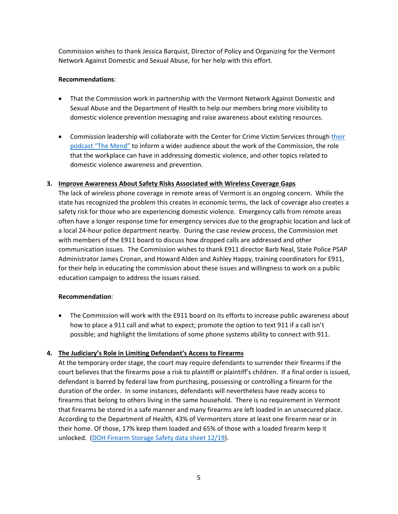Commission wishes to thank Jessica Barquist, Director of Policy and Organizing for the Vermont Network Against Domestic and Sexual Abuse, for her help with this effort.

#### **Recommendations**:

- That the Commission work in partnership with the Vermont Network Against Domestic and Sexual Abuse and the Department of Health to help our members bring more visibility to domestic violence prevention messaging and raise awareness about existing resources.
- Commission leadership will collaborate with the Center for Crime Victim Services through [their](https://www.ccvs.vermont.gov/about/social-media)  [podcast "The Mend"](https://www.ccvs.vermont.gov/about/social-media) to inform a wider audience about the work of the Commission, the role that the workplace can have in addressing domestic violence, and other topics related to domestic violence awareness and prevention.

#### **3. Improve Awareness About Safety Risks Associated with Wireless Coverage Gaps**

The lack of wireless phone coverage in remote areas of Vermont is an ongoing concern. While the state has recognized the problem this creates in economic terms, the lack of coverage also creates a safety risk for those who are experiencing domestic violence. Emergency calls from remote areas often have a longer response time for emergency services due to the geographic location and lack of a local 24-hour police department nearby. During the case review process, the Commission met with members of the E911 board to discuss how dropped calls are addressed and other communication issues. The Commission wishes to thank E911 director Barb Neal, State Police PSAP Administrator James Cronan, and Howard Alden and Ashley Happy, training coordinators for E911, for their help in educating the commission about these issues and willingness to work on a public education campaign to address the issues raised.

#### **Recommendation**:

• The Commission will work with the E911 board on its efforts to increase public awareness about how to place a 911 call and what to expect; promote the option to text 911 if a call isn't possible; and highlight the limitations of some phone systems ability to connect with 911.

#### **4. The Judiciary's Role in Limiting Defendant's Access to Firearms**

At the temporary order stage, the court may require defendants to surrender their firearms if the court believes that the firearms pose a risk to plaintiff or plaintiff's children. If a final order is issued, defendant is barred by federal law from purchasing, possessing or controlling a firearm for the duration of the order. In some instances, defendants will nevertheless have ready access to firearms that belong to others living in the same household. There is no requirement in Vermont that firearms be stored in a safe manner and many firearms are left loaded in an unsecured place. According to the Department of Health, 43% of Vermonters store at least one firearm near or in their home. Of those, 17% keep them loaded and 65% of those with a loaded firearm keep it unlocked. [\(DOH Firearm Storage Safety data sheet 12/19\)](https://www.healthvermont.gov/sites/default/files/documents/pdf/HS_BRFSS_Firearm_Storage_Safety.pdf).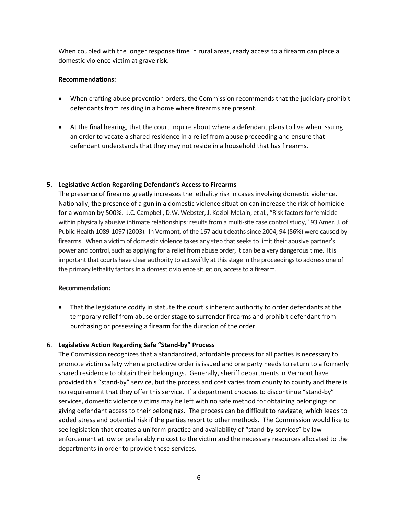When coupled with the longer response time in rural areas, ready access to a firearm can place a domestic violence victim at grave risk.

#### **Recommendations:**

- When crafting abuse prevention orders, the Commission recommends that the judiciary prohibit defendants from residing in a home where firearms are present.
- At the final hearing, that the court inquire about where a defendant plans to live when issuing an order to vacate a shared residence in a relief from abuse proceeding and ensure that defendant understands that they may not reside in a household that has firearms.

#### **5. Legislative Action Regarding Defendant's Access to Firearms**

The presence of firearms greatly increases the lethality risk in cases involving domestic violence. Nationally, the presence of a gun in a domestic violence situation can increase the risk of homicide for a woman by 500%. J.C. Campbell, D.W. Webster, J. Koziol-McLain, et al., "Risk factors for femicide within physically abusive intimate relationships: results from a multi-site case control study," 93 Amer. J. of Public Health 1089-1097 (2003). In Vermont, of the 167 adult deaths since 2004, 94 (56%) were caused by firearms. When a victim of domestic violence takes any step that seeks to limit their abusive partner's power and control, such as applying for a relief from abuse order, it can be a very dangerous time. It is important that courts have clear authority to act swiftly at this stage in the proceedings to address one of the primary lethality factors In a domestic violence situation, access to a firearm.

#### **Recommendation:**

• That the legislature codify in statute the court's inherent authority to order defendants at the temporary relief from abuse order stage to surrender firearms and prohibit defendant from purchasing or possessing a firearm for the duration of the order.

#### 6. **Legislative Action Regarding Safe "Stand-by" Process**

The Commission recognizes that a standardized, affordable process for all parties is necessary to promote victim safety when a protective order is issued and one party needs to return to a formerly shared residence to obtain their belongings. Generally, sheriff departments in Vermont have provided this "stand-by" service, but the process and cost varies from county to county and there is no requirement that they offer this service. If a department chooses to discontinue "stand-by" services, domestic violence victims may be left with no safe method for obtaining belongings or giving defendant access to their belongings. The process can be difficult to navigate, which leads to added stress and potential risk if the parties resort to other methods. The Commission would like to see legislation that creates a uniform practice and availability of "stand-by services" by law enforcement at low or preferably no cost to the victim and the necessary resources allocated to the departments in order to provide these services.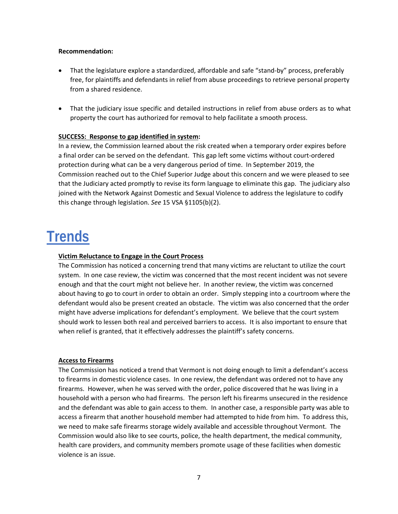#### **Recommendation:**

- That the legislature explore a standardized, affordable and safe "stand-by" process, preferably free, for plaintiffs and defendants in relief from abuse proceedings to retrieve personal property from a shared residence.
- That the judiciary issue specific and detailed instructions in relief from abuse orders as to what property the court has authorized for removal to help facilitate a smooth process.

#### **SUCCESS: Response to gap identified in system:**

In a review, the Commission learned about the risk created when a temporary order expires before a final order can be served on the defendant. This gap left some victims without court-ordered protection during what can be a very dangerous period of time. In September 2019, the Commission reached out to the Chief Superior Judge about this concern and we were pleased to see that the Judiciary acted promptly to revise its form language to eliminate this gap. The judiciary also joined with the Network Against Domestic and Sexual Violence to address the legislature to codify this change through legislation. *See* 15 VSA §1105(b)(2).

## **Trends**

#### **Victim Reluctance to Engage in the Court Process**

The Commission has noticed a concerning trend that many victims are reluctant to utilize the court system. In one case review, the victim was concerned that the most recent incident was not severe enough and that the court might not believe her. In another review, the victim was concerned about having to go to court in order to obtain an order. Simply stepping into a courtroom where the defendant would also be present created an obstacle. The victim was also concerned that the order might have adverse implications for defendant's employment. We believe that the court system should work to lessen both real and perceived barriers to access. It is also important to ensure that when relief is granted, that it effectively addresses the plaintiff's safety concerns.

#### **Access to Firearms**

The Commission has noticed a trend that Vermont is not doing enough to limit a defendant's access to firearms in domestic violence cases. In one review, the defendant was ordered not to have any firearms. However, when he was served with the order, police discovered that he was living in a household with a person who had firearms. The person left his firearms unsecured in the residence and the defendant was able to gain access to them. In another case, a responsible party was able to access a firearm that another household member had attempted to hide from him. To address this, we need to make safe firearms storage widely available and accessible throughout Vermont. The Commission would also like to see courts, police, the health department, the medical community, health care providers, and community members promote usage of these facilities when domestic violence is an issue.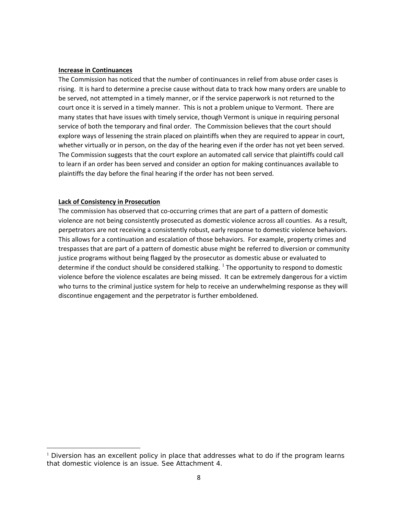#### **Increase in Continuances**

The Commission has noticed that the number of continuances in relief from abuse order cases is rising. It is hard to determine a precise cause without data to track how many orders are unable to be served, not attempted in a timely manner, or if the service paperwork is not returned to the court once it is served in a timely manner. This is not a problem unique to Vermont. There are many states that have issues with timely service, though Vermont is unique in requiring personal service of both the temporary and final order. The Commission believes that the court should explore ways of lessening the strain placed on plaintiffs when they are required to appear in court, whether virtually or in person, on the day of the hearing even if the order has not yet been served. The Commission suggests that the court explore an automated call service that plaintiffs could call to learn if an order has been served and consider an option for making continuances available to plaintiffs the day before the final hearing if the order has not been served.

#### **Lack of Consistency in Prosecution**

The commission has observed that co-occurring crimes that are part of a pattern of domestic violence are not being consistently prosecuted as domestic violence across all counties. As a result, perpetrators are not receiving a consistently robust, early response to domestic violence behaviors. This allows for a continuation and escalation of those behaviors. For example, property crimes and trespasses that are part of a pattern of domestic abuse might be referred to diversion or community justice programs without being flagged by the prosecutor as domestic abuse or evaluated to determine if the conduct should be considered stalking.  $1$  The opportunity to respond to domestic violence before the violence escalates are being missed. It can be extremely dangerous for a victim who turns to the criminal justice system for help to receive an underwhelming response as they will discontinue engagement and the perpetrator is further emboldened.

<span id="page-8-0"></span><sup>&</sup>lt;sup>1</sup> Diversion has an excellent policy in place that addresses what to do if the program learns that domestic violence is an issue. See Attachment 4.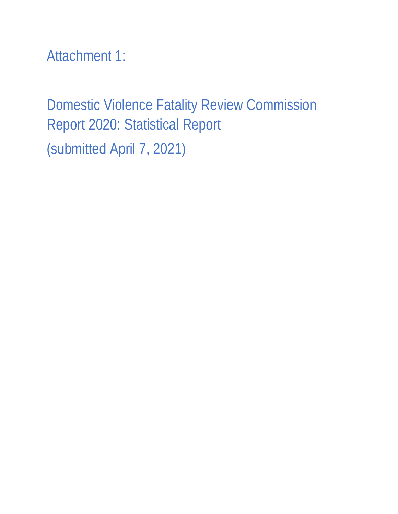Attachment 1:

Domestic Violence Fatality Review Commission Report 2020: Statistical Report (submitted April 7, 2021)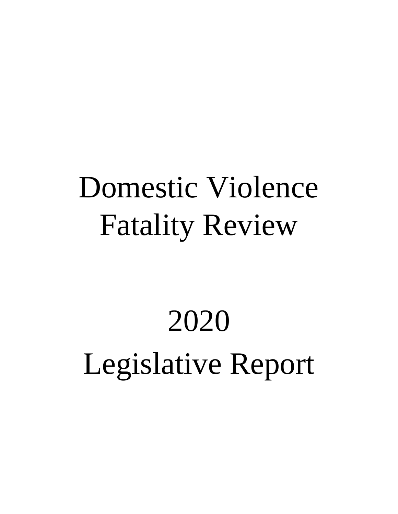## Domestic Violence Fatality Review

# 2020 Legislative Report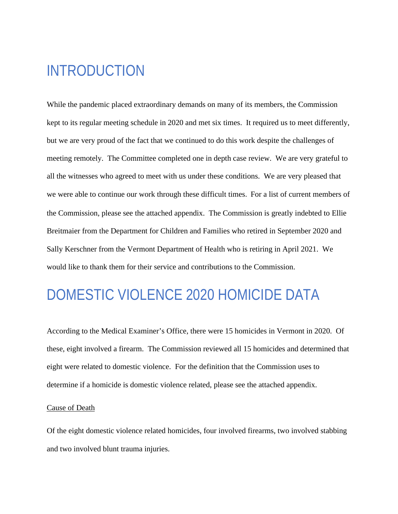## INTRODUCTION

While the pandemic placed extraordinary demands on many of its members, the Commission kept to its regular meeting schedule in 2020 and met six times. It required us to meet differently, but we are very proud of the fact that we continued to do this work despite the challenges of meeting remotely. The Committee completed one in depth case review. We are very grateful to all the witnesses who agreed to meet with us under these conditions. We are very pleased that we were able to continue our work through these difficult times. For a list of current members of the Commission, please see the attached appendix. The Commission is greatly indebted to Ellie Breitmaier from the Department for Children and Families who retired in September 2020 and Sally Kerschner from the Vermont Department of Health who is retiring in April 2021. We would like to thank them for their service and contributions to the Commission.

## DOMESTIC VIOLENCE 2020 HOMICIDE DATA

According to the Medical Examiner's Office, there were 15 homicides in Vermont in 2020. Of these, eight involved a firearm. The Commission reviewed all 15 homicides and determined that eight were related to domestic violence. For the definition that the Commission uses to determine if a homicide is domestic violence related, please see the attached appendix.

#### Cause of Death

Of the eight domestic violence related homicides, four involved firearms, two involved stabbing and two involved blunt trauma injuries.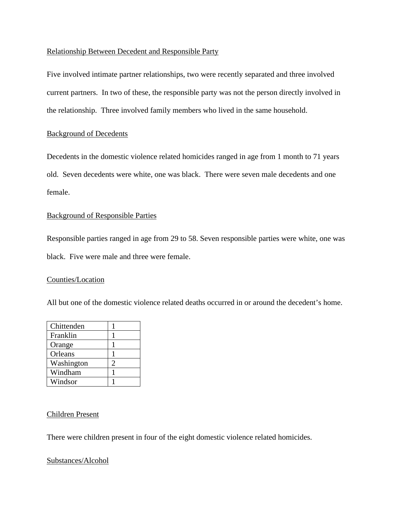#### Relationship Between Decedent and Responsible Party

Five involved intimate partner relationships, two were recently separated and three involved current partners. In two of these, the responsible party was not the person directly involved in the relationship. Three involved family members who lived in the same household.

#### Background of Decedents

Decedents in the domestic violence related homicides ranged in age from 1 month to 71 years old. Seven decedents were white, one was black. There were seven male decedents and one female.

#### Background of Responsible Parties

Responsible parties ranged in age from 29 to 58. Seven responsible parties were white, one was black. Five were male and three were female.

#### Counties/Location

All but one of the domestic violence related deaths occurred in or around the decedent's home.

| Chittenden |  |
|------------|--|
| Franklin   |  |
| Orange     |  |
| Orleans    |  |
| Washington |  |
| Windham    |  |
| Windsor    |  |

#### Children Present

There were children present in four of the eight domestic violence related homicides.

#### Substances/Alcohol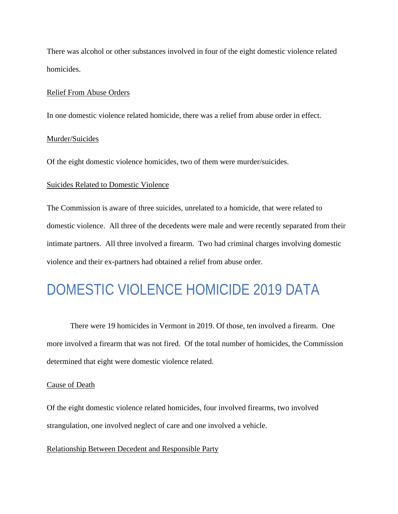There was alcohol or other substances involved in four of the eight domestic violence related homicides.

#### Relief From Abuse Orders

In one domestic violence related homicide, there was a relief from abuse order in effect.

#### Murder/Suicides

Of the eight domestic violence homicides, two of them were murder/suicides.

#### Suicides Related to Domestic Violence

The Commission is aware of three suicides, unrelated to a homicide, that were related to domestic violence. All three of the decedents were male and were recently separated from their intimate partners. All three involved a firearm. Two had criminal charges involving domestic violence and their ex-partners had obtained a relief from abuse order.

## DOMESTIC VIOLENCE HOMICIDE 2019 DATA

There were 19 homicides in Vermont in 2019. Of those, ten involved a firearm. One more involved a firearm that was not fired. Of the total number of homicides, the Commission determined that eight were domestic violence related.

#### Cause of Death

Of the eight domestic violence related homicides, four involved firearms, two involved strangulation, one involved neglect of care and one involved a vehicle.

#### Relationship Between Decedent and Responsible Party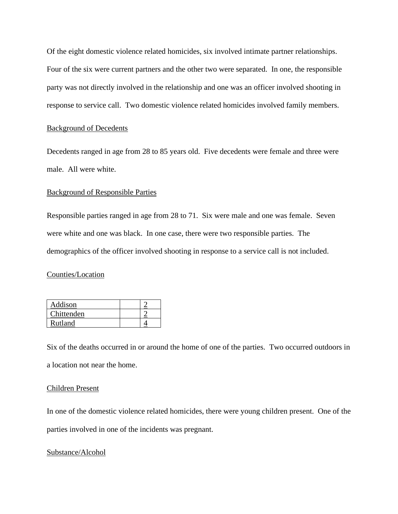Of the eight domestic violence related homicides, six involved intimate partner relationships. Four of the six were current partners and the other two were separated. In one, the responsible party was not directly involved in the relationship and one was an officer involved shooting in response to service call. Two domestic violence related homicides involved family members.

#### Background of Decedents

Decedents ranged in age from 28 to 85 years old. Five decedents were female and three were male. All were white.

#### Background of Responsible Parties

Responsible parties ranged in age from 28 to 71. Six were male and one was female. Seven were white and one was black. In one case, there were two responsible parties. The demographics of the officer involved shooting in response to a service call is not included.

#### Counties/Location

| Addison    |  |
|------------|--|
| Chittenden |  |
| Rutland    |  |

Six of the deaths occurred in or around the home of one of the parties. Two occurred outdoors in a location not near the home.

#### Children Present

In one of the domestic violence related homicides, there were young children present. One of the parties involved in one of the incidents was pregnant.

#### Substance/Alcohol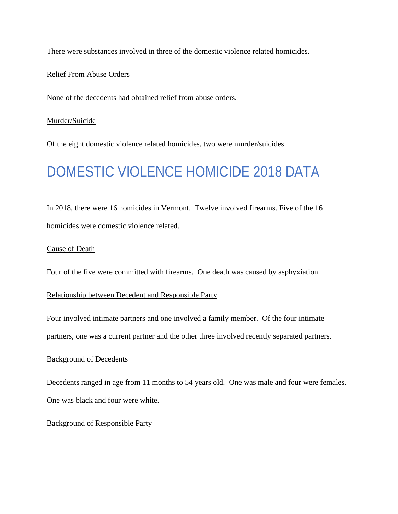There were substances involved in three of the domestic violence related homicides.

#### Relief From Abuse Orders

None of the decedents had obtained relief from abuse orders.

#### Murder/Suicide

Of the eight domestic violence related homicides, two were murder/suicides.

## DOMESTIC VIOLENCE HOMICIDE 2018 DATA

In 2018, there were 16 homicides in Vermont. Twelve involved firearms. Five of the 16 homicides were domestic violence related.

#### Cause of Death

Four of the five were committed with firearms. One death was caused by asphyxiation.

#### Relationship between Decedent and Responsible Party

Four involved intimate partners and one involved a family member. Of the four intimate

partners, one was a current partner and the other three involved recently separated partners.

#### Background of Decedents

Decedents ranged in age from 11 months to 54 years old. One was male and four were females. One was black and four were white.

#### Background of Responsible Party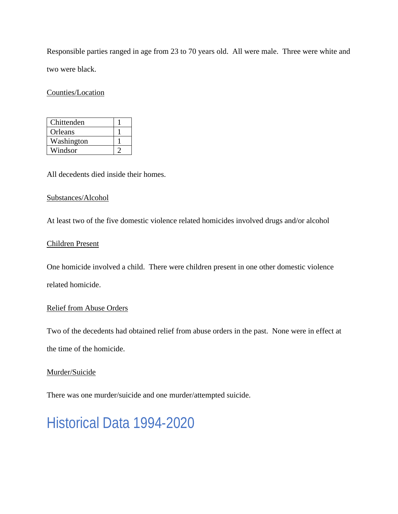Responsible parties ranged in age from 23 to 70 years old. All were male. Three were white and two were black.

Counties/Location

| Chittenden |  |
|------------|--|
| Orleans    |  |
| Washington |  |
| Windsor    |  |

All decedents died inside their homes.

#### Substances/Alcohol

At least two of the five domestic violence related homicides involved drugs and/or alcohol

#### Children Present

One homicide involved a child. There were children present in one other domestic violence related homicide.

#### Relief from Abuse Orders

Two of the decedents had obtained relief from abuse orders in the past. None were in effect at the time of the homicide.

#### Murder/Suicide

There was one murder/suicide and one murder/attempted suicide.

## Historical Data 1994-2020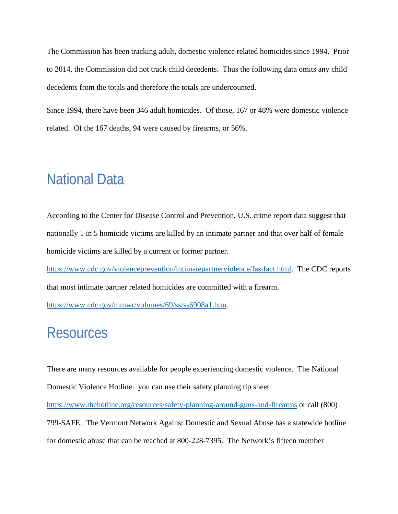The Commission has been tracking adult, domestic violence related homicides since 1994. Prior to 2014, the Commission did not track child decedents. Thus the following data omits any child decedents from the totals and therefore the totals are undercounted.

Since 1994, there have been 346 adult homicides. Of those, 167 or 48% were domestic violence related. Of the 167 deaths, 94 were caused by firearms, or 56%.

## National Data

According to the Center for Disease Control and Prevention, U.S. crime report data suggest that nationally 1 in 5 homicide victims are killed by an intimate partner and that over half of female homicide victims are killed by a current or former partner.

[https://www.cdc.gov/violenceprevention/intimatepartnerviolence/fastfact.html.](https://www.cdc.gov/violenceprevention/intimatepartnerviolence/fastfact.html) The CDC reports that most intimate partner related homicides are committed with a firearm.

[https://www.cdc.gov/mmwr/volumes/69/ss/ss6908a1.htm.](https://www.cdc.gov/mmwr/volumes/69/ss/ss6908a1.htm)

### **Resources**

There are many resources available for people experiencing domestic violence. The National Domestic Violence Hotline: you can use their safety planning tip sheet <https://www.thehotline.org/resources/safety-planning-around-guns-and-firearms> or call (800) 799-SAFE. The Vermont Network Against Domestic and Sexual Abuse has a statewide hotline for domestic abuse that can be reached at 800-228-7395. The Network's fifteen member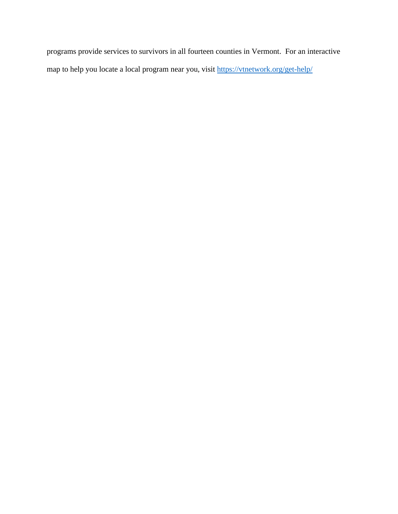programs provide services to survivors in all fourteen counties in Vermont. For an interactive map to help you locate a local program near you, visit<https://vtnetwork.org/get-help/>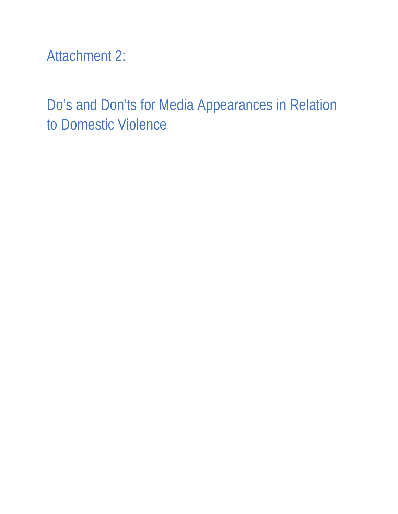Attachment 2:

Do's and Don'ts for Media Appearances in Relation to Domestic Violence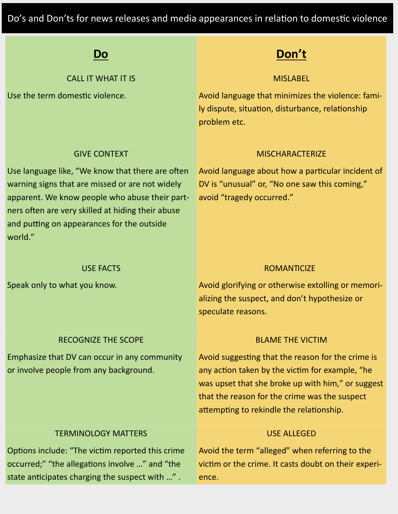Do's and Don'ts for news releases and media appearances in relation to domestic violence

| Do                                                                                                                                                                                                                                                                  | Don't                                                                                                                                                                                                                                                  |  |
|---------------------------------------------------------------------------------------------------------------------------------------------------------------------------------------------------------------------------------------------------------------------|--------------------------------------------------------------------------------------------------------------------------------------------------------------------------------------------------------------------------------------------------------|--|
| <b>CALL IT WHAT IT IS</b>                                                                                                                                                                                                                                           | <b>MISLABEL</b>                                                                                                                                                                                                                                        |  |
| Use the term domestic violence.                                                                                                                                                                                                                                     | Avoid language that minimizes the violence: fami-<br>ly dispute, situation, disturbance, relationship<br>problem etc.                                                                                                                                  |  |
| <b>GIVE CONTEXT</b>                                                                                                                                                                                                                                                 | <b>MISCHARACTERIZE</b>                                                                                                                                                                                                                                 |  |
| Use language like, "We know that there are often<br>warning signs that are missed or are not widely<br>apparent. We know people who abuse their part-<br>ners often are very skilled at hiding their abuse<br>and putting on appearances for the outside<br>world." | Avoid language about how a particular incident of<br>DV is "unusual" or, "No one saw this coming,"<br>avoid "tragedy occurred."                                                                                                                        |  |
| <b>USE FACTS</b>                                                                                                                                                                                                                                                    | <b>ROMANTICIZE</b>                                                                                                                                                                                                                                     |  |
| Speak only to what you know.                                                                                                                                                                                                                                        | Avoid glorifying or otherwise extolling or memori-<br>alizing the suspect, and don't hypothesize or<br>speculate reasons.                                                                                                                              |  |
| <b>RECOGNIZE THE SCOPE</b>                                                                                                                                                                                                                                          | <b>BLAME THE VICTIM</b>                                                                                                                                                                                                                                |  |
| Emphasize that DV can occur in any community<br>or involve people from any background.                                                                                                                                                                              | Avoid suggesting that the reason for the crime is<br>any action taken by the victim for example, "he<br>was upset that she broke up with him," or suggest<br>that the reason for the crime was the suspect<br>attempting to rekindle the relationship. |  |
| <b>TERMINOLOGY MATTERS</b>                                                                                                                                                                                                                                          | <b>USE ALLEGED</b>                                                                                                                                                                                                                                     |  |
| Options include: "The victim reported this crime<br>occurred;" "the allegations involve " and "the<br>state anticipates charging the suspect with ".                                                                                                                | Avoid the term "alleged" when referring to the<br>victim or the crime. It casts doubt on their experi-<br>ence.                                                                                                                                        |  |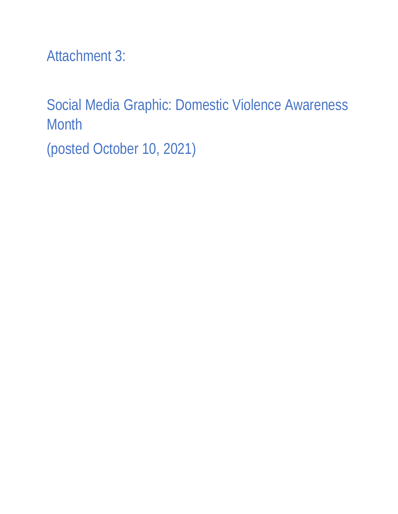Attachment 3:

Social Media Graphic: Domestic Violence Awareness **Month** (posted October 10, 2021)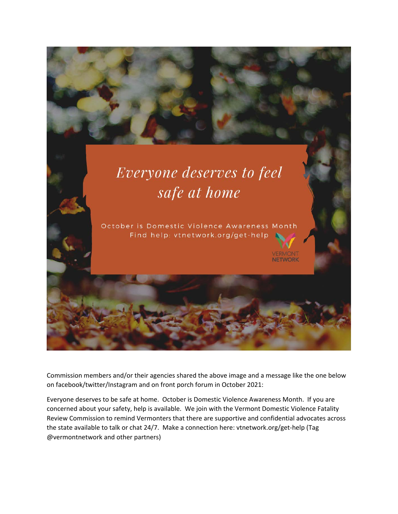

Commission members and/or their agencies shared the above image and a message like the one below on facebook/twitter/Instagram and on front porch forum in October 2021:

Everyone deserves to be safe at home. October is Domestic Violence Awareness Month. If you are concerned about your safety, help is available. We join with the Vermont Domestic Violence Fatality Review Commission to remind Vermonters that there are supportive and confidential advocates across the state available to talk or chat 24/7. Make a connection here: vtnetwork.org/get-help (Tag @vermontnetwork and other partners)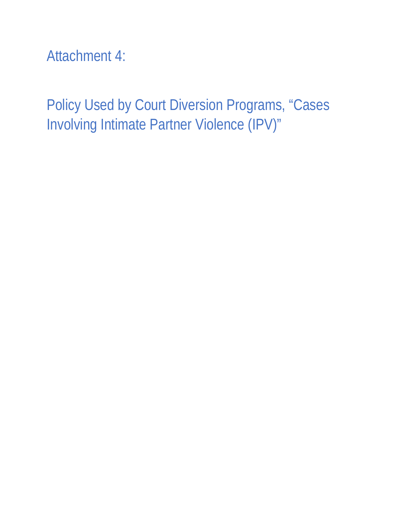Attachment 4:

Policy Used by Court Diversion Programs, "Cases Involving Intimate Partner Violence (IPV)"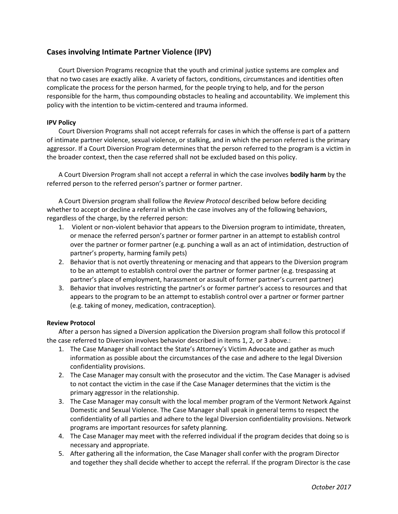#### **Cases involving Intimate Partner Violence (IPV)**

Court Diversion Programs recognize that the youth and criminal justice systems are complex and that no two cases are exactly alike. A variety of factors, conditions, circumstances and identities often complicate the process for the person harmed, for the people trying to help, and for the person responsible for the harm, thus compounding obstacles to healing and accountability. We implement this policy with the intention to be victim-centered and trauma informed.

#### **IPV Policy**

Court Diversion Programs shall not accept referrals for cases in which the offense is part of a pattern of intimate partner violence, sexual violence, or stalking, and in which the person referred is the primary aggressor. If a Court Diversion Program determines that the person referred to the program is a victim in the broader context, then the case referred shall not be excluded based on this policy.

A Court Diversion Program shall not accept a referral in which the case involves **bodily harm** by the referred person to the referred person's partner or former partner.

A Court Diversion program shall follow the *Review Protocol* described below before deciding whether to accept or decline a referral in which the case involves any of the following behaviors, regardless of the charge, by the referred person:

- 1. Violent or non-violent behavior that appears to the Diversion program to intimidate, threaten, or menace the referred person's partner or former partner in an attempt to establish control over the partner or former partner (e.g. punching a wall as an act of intimidation, destruction of partner's property, harming family pets)
- 2. Behavior that is not overtly threatening or menacing and that appears to the Diversion program to be an attempt to establish control over the partner or former partner (e.g. trespassing at partner's place of employment, harassment or assault of former partner's current partner)
- 3. Behavior that involves restricting the partner's or former partner's access to resources and that appears to the program to be an attempt to establish control over a partner or former partner (e.g. taking of money, medication, contraception).

#### **Review Protocol**

After a person has signed a Diversion application the Diversion program shall follow this protocol if the case referred to Diversion involves behavior described in items 1, 2, or 3 above.:

- 1. The Case Manager shall contact the State's Attorney's Victim Advocate and gather as much information as possible about the circumstances of the case and adhere to the legal Diversion confidentiality provisions.
- 2. The Case Manager may consult with the prosecutor and the victim. The Case Manager is advised to not contact the victim in the case if the Case Manager determines that the victim is the primary aggressor in the relationship.
- 3. The Case Manager may consult with the local member program of the Vermont Network Against Domestic and Sexual Violence. The Case Manager shall speak in general terms to respect the confidentiality of all parties and adhere to the legal Diversion confidentiality provisions. Network programs are important resources for safety planning.
- 4. The Case Manager may meet with the referred individual if the program decides that doing so is necessary and appropriate.
- 5. After gathering all the information, the Case Manager shall confer with the program Director and together they shall decide whether to accept the referral. If the program Director is the case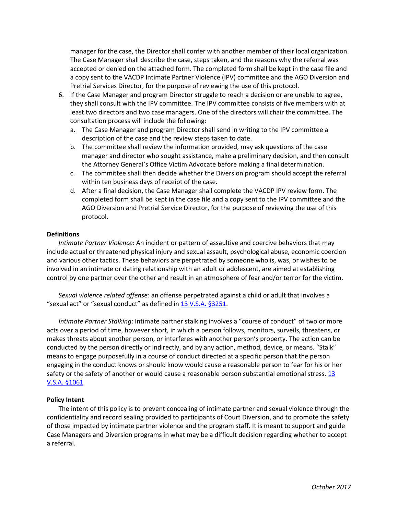manager for the case, the Director shall confer with another member of their local organization. The Case Manager shall describe the case, steps taken, and the reasons why the referral was accepted or denied on the attached form. The completed form shall be kept in the case file and a copy sent to the VACDP Intimate Partner Violence (IPV) committee and the AGO Diversion and Pretrial Services Director, for the purpose of reviewing the use of this protocol.

- 6. If the Case Manager and program Director struggle to reach a decision or are unable to agree, they shall consult with the IPV committee. The IPV committee consists of five members with at least two directors and two case managers. One of the directors will chair the committee. The consultation process will include the following:
	- a. The Case Manager and program Director shall send in writing to the IPV committee a description of the case and the review steps taken to date.
	- b. The committee shall review the information provided, may ask questions of the case manager and director who sought assistance, make a preliminary decision, and then consult the Attorney General's Office Victim Advocate before making a final determination.
	- c. The committee shall then decide whether the Diversion program should accept the referral within ten business days of receipt of the case.
	- d. After a final decision, the Case Manager shall complete the VACDP IPV review form. The completed form shall be kept in the case file and a copy sent to the IPV committee and the AGO Diversion and Pretrial Service Director, for the purpose of reviewing the use of this protocol.

#### **Definitions**

*Intimate Partner Violence*: An incident or pattern of assaultive and coercive behaviors that may include actual or threatened physical injury and sexual assault, psychological abuse, economic coercion and various other tactics. These behaviors are perpetrated by someone who is, was, or wishes to be involved in an intimate or dating relationship with an adult or adolescent, are aimed at establishing control by one partner over the other and result in an atmosphere of fear and/or terror for the victim.

*Sexual violence related offense*: an offense perpetrated against a child or adult that involves a "sexual act" or "sexual conduct" as defined in [13 V.S.A. §3251.](https://legislature.vermont.gov/statutes/section/13/072/03251)

*Intimate Partner Stalking*: Intimate partner stalking involves a "course of conduct" of two or more acts over a period of time, however short, in which a person follows, monitors, surveils, threatens, or makes threats about another person, or interferes with another person's property. The action can be conducted by the person directly or indirectly, and by any action, method, device, or means. "Stalk" means to engage purposefully in a course of conduct directed at a specific person that the person engaging in the conduct knows or should know would cause a reasonable person to fear for his or her safety or the safety of another or would cause a reasonable person substantial emotional stress. 13 [V.S.A. §1061](https://legislature.vermont.gov/statutes/section/13/019/01061)

#### **Policy Intent**

The intent of this policy is to prevent concealing of intimate partner and sexual violence through the confidentiality and record sealing provided to participants of Court Diversion, and to promote the safety of those impacted by intimate partner violence and the program staff. It is meant to support and guide Case Managers and Diversion programs in what may be a difficult decision regarding whether to accept a referral.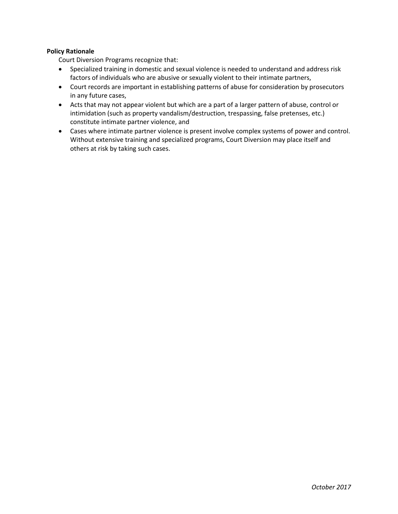#### **Policy Rationale**

Court Diversion Programs recognize that:

- Specialized training in domestic and sexual violence is needed to understand and address risk factors of individuals who are abusive or sexually violent to their intimate partners,
- Court records are important in establishing patterns of abuse for consideration by prosecutors in any future cases,
- Acts that may not appear violent but which are a part of a larger pattern of abuse, control or intimidation (such as property vandalism/destruction, trespassing, false pretenses, etc.) constitute intimate partner violence, and
- Cases where intimate partner violence is present involve complex systems of power and control. Without extensive training and specialized programs, Court Diversion may place itself and others at risk by taking such cases.